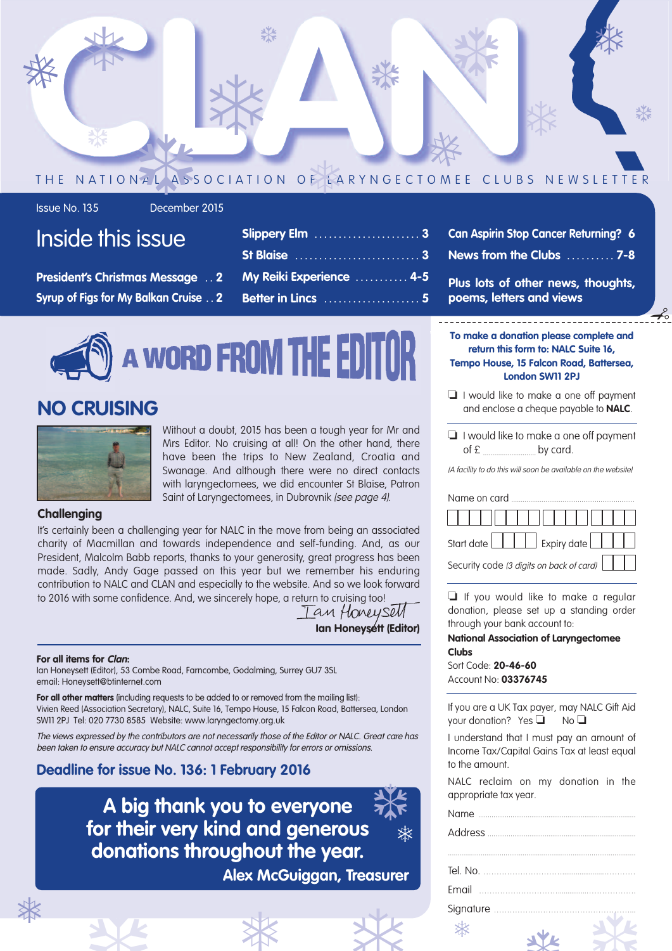

Issue No. 135 December 2015

### Inside this issue

**President's Christmas Message . . 2 Syrup of Figs for My Balkan Cruise . . 2**

| Slippery Elm  3          |  |
|--------------------------|--|
|                          |  |
| My Reiki Experience  4-5 |  |
|                          |  |

# $\,$  a word from the editor

### **NO CRUISING**



Without a doubt, 2015 has been a tough year for Mr and Mrs Editor. No cruising at all! On the other hand, there have been the trips to New Zealand, Croatia and Swanage. And although there were no direct contacts with laryngectomees, we did encounter St Blaise, Patron Saint of Laryngectomees, in Dubrovnik (see page 4).

#### **Challenging**

It's certainly been a challenging year for NALC in the move from being an associated charity of Macmillan and towards independence and self-funding. And, as our President, Malcolm Babb reports, thanks to your generosity, great progress has been made. Sadly, Andy Gage passed on this year but we remember his enduring contribution to NALC and CLAN and especially to the website. And so we look forward to 2016 with some confidence. And, we sincerely hope, a return to cruising too!

> Tan Honeysell **Ian Honeysett (Editor)**

#### **For all items for Clan:**

Ian Honeysett (Editor), 53 Combe Road, Farncombe, Godalming, Surrey GU7 3SL email: Honeysett@btinternet.com

**For all other matters** (including requests to be added to or removed from the mailing list): Vivien Reed (Association Secretary), NALC, Suite 16, Tempo House, 15 Falcon Road, Battersea, London SW11 2PJ Tel: 020 7730 8585 Website: www.laryngectomy.org.uk

The views expressed by the contributors are not necessarily those of the Editor or NALC. Great care has been taken to ensure accuracy but NALC cannot accept responsibility for errors or omissions.

#### **Deadline for issue No. 136: 1 February 2016**

**A big thank you to everyone for their very kind and generous donations throughout the year. Alex McGuiggan, Treasurer** \*\* HE

**Can Aspirin Stop Cancer Returning? 6 News from the Clubs . . . . . . . . . . 7-8 Plus lots of other news, thoughts, poems, letters and views**

 $-\xi$ 

#### **To make a donation please complete and return this form to: NALC Suite 16, Tempo House, 15 Falcon Road, Battersea, London SW11 2PJ**

- $\Box$  I would like to make a one off payment and enclose a cheque payable to **NALC**.
- $\Box$  I would like to make a one off payment  $of  $\epsilon$$  by card.

(A facility to do this will soon be available on the website)

| Name on card                                                       |
|--------------------------------------------------------------------|
| .                                                                  |
|                                                                    |
| Security code (3 digits on back of card) $\boxed{\phantom{\big }}$ |

 $\Box$  If you would like to make a regular donation, please set up a standing order through your bank account to:

#### **National Association of Laryngectomee Clubs**

Sort Code: **20-46-60** Account No: **03376745**

If you are a UK Tax payer, may NALC Gift Aid your donation? Yes  $\Box$  No  $\Box$ 

I understand that I must pay an amount of Income Tax/Capital Gains Tax at least equal to the amount.

NALC reclaim on my donation in the appropriate tax year.

| for their very kind and generous<br>donations throughout the year. | <b>A DIY ITIMIIN YOU TO GYGI YUHG</b> |                                  | <b>Name</b><br><b>Address</b> |  |
|--------------------------------------------------------------------|---------------------------------------|----------------------------------|-------------------------------|--|
|                                                                    |                                       | <b>Alex McGuiggan, Treasurer</b> | Fmail                         |  |
|                                                                    |                                       |                                  |                               |  |
|                                                                    |                                       |                                  |                               |  |

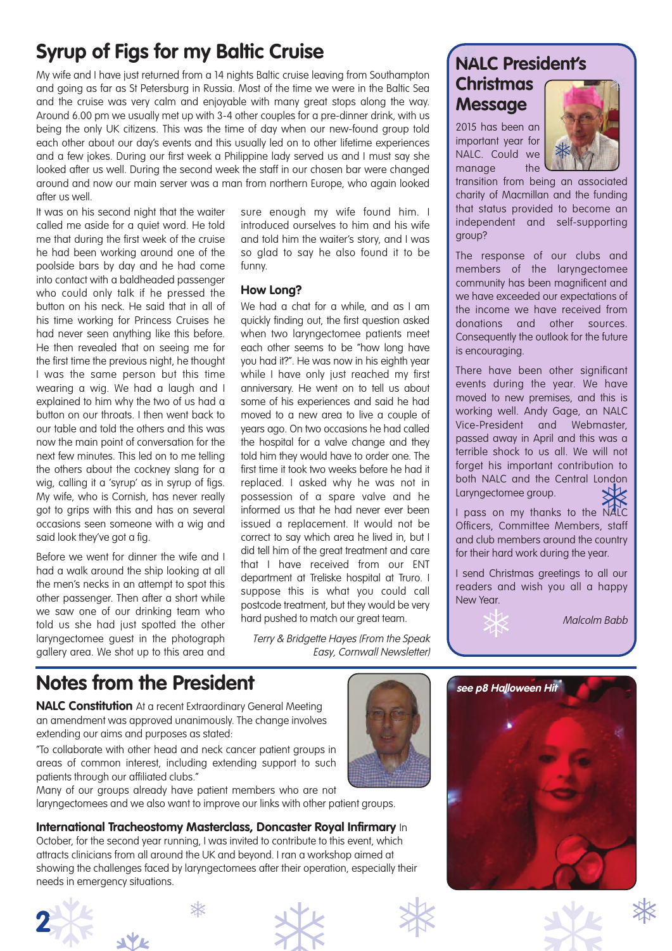### **Syrup of Figs for my Baltic Cruise**

My wife and I have just returned from a 14 nights Baltic cruise leaving from Southampton and going as far as St Petersburg in Russia. Most of the time we were in the Baltic Sea and the cruise was very calm and enjoyable with many great stops along the way. Around 6.00 pm we usually met up with 3-4 other couples for a pre-dinner drink, with us being the only UK citizens. This was the time of day when our new-found group told each other about our day's events and this usually led on to other lifetime experiences and a few jokes. During our first week a Philippine lady served us and I must say she looked after us well. During the second week the staff in our chosen bar were changed around and now our main server was a man from northern Europe, who again looked after us well.

It was on his second night that the waiter called me aside for a quiet word. He told me that during the first week of the cruise he had been working around one of the poolside bars by day and he had come into contact with a baldheaded passenger who could only talk if he pressed the button on his neck. He said that in all of his time working for Princess Cruises he had never seen anything like this before. He then revealed that on seeing me for the first time the previous night, he thought I was the same person but this time wearing a wig. We had a laugh and I explained to him why the two of us had a button on our throats. I then went back to our table and told the others and this was now the main point of conversation for the next few minutes. This led on to me telling the others about the cockney slang for a wig, calling it a 'syrup' as in syrup of figs. My wife, who is Cornish, has never really got to grips with this and has on several occasions seen someone with a wig and said look they've got a fig.

Before we went for dinner the wife and I had a walk around the ship looking at all the men's necks in an attempt to spot this other passenger. Then after a short while we saw one of our drinking team who told us she had just spotted the other laryngectomee guest in the photograph gallery area. We shot up to this area and

sure enough my wife found him. I introduced ourselves to him and his wife and told him the waiter's story, and I was so glad to say he also found it to be funny.

#### **How Long?**

We had a chat for a while, and as I am quickly finding out, the first question asked when two laryngectomee patients meet each other seems to be "how long have you had it?". He was now in his eighth year while I have only just reached my first anniversary. He went on to tell us about some of his experiences and said he had moved to a new area to live a couple of years ago. On two occasions he had called the hospital for a valve change and they told him they would have to order one. The first time it took two weeks before he had it replaced. I asked why he was not in possession of a spare valve and he informed us that he had never ever been issued a replacement. It would not be correct to say which area he lived in, but I did tell him of the great treatment and care that I have received from our ENT department at Treliske hospital at Truro. I suppose this is what you could call postcode treatment, but they would be very hard pushed to match our great team.

Terry & Bridgette Hayes (From the Speak Easy, Cornwall Newsletter)

### **NALC President's** e **Christmas Message**

2015 has been an important year for NALC. Could we manage the



transition from being an associated charity of Macmillan and the funding that status provided to become an independent and self-supporting group?

The response of our clubs and members of the laryngectomee community has been magnificent and we have exceeded our expectations of the income we have received from donations and other sources. Consequently the outlook for the future is encouraging.

There have been other significant events during the year. We have moved to new premises, and this is working well. Andy Gage, an NALC Vice-President and Webmaster, passed away in April and this was a terrible shock to us all. We will not forget his important contribution to both NALC and the Central London Laryngectomee group. both NALC and the Central London<br>Laryngectomee group.<br>I pass on my thanks to the NALC

Officers, Committee Members, staff and club members around the country for their hard work during the year.

I send Christmas greetings to all our readers and wish you all a happy New Year. 美<br>米

Malcolm Babb

### **Notes from the President**

**NALC Constitution** At a recent Extraordinary General Meeting an amendment was approved unanimously. The change involves extending our aims and purposes as stated:

"To collaborate with other head and neck cancer patient groups in areas of common interest, including extending support to such patients through our affiliated clubs."

Many of our groups already have patient members who are not laryngectomees and we also want to improve our links with other patient groups.

#### **International Tracheostomy Masterclass, Doncaster Royal Infirmary** In

October, for the second year running, I was invited to contribute to this event, which attracts clinicians from all around the UK and beyond. I ran a workshop aimed at showing the challenges faced by laryngectomees after their operation, especially their needs in emergency situations.





 $\frac{1}{k}$ 

\*\* \* \*







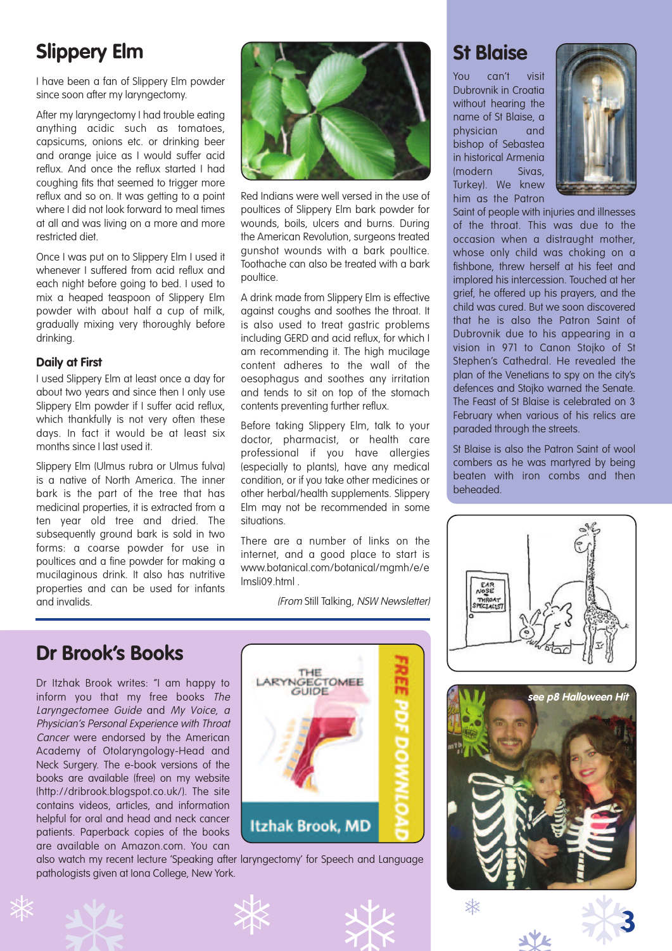### **Slippery Elm**

I have been a fan of Slippery Elm powder since soon after my laryngectomy.

After my laryngectomy I had trouble eating anything acidic such as tomatoes, capsicums, onions etc. or drinking beer and orange juice as I would suffer acid reflux. And once the reflux started I had coughing fits that seemed to trigger more reflux and so on. It was getting to a point where I did not look forward to meal times at all and was living on a more and more restricted diet.

Once I was put on to Slippery Elm I used it whenever I suffered from acid reflux and each night before going to bed. I used to mix a heaped teaspoon of Slippery Elm powder with about half a cup of milk, gradually mixing very thoroughly before drinking.

#### **Daily at First**

I used Slippery Elm at least once a day for about two years and since then I only use Slippery Elm powder if I suffer acid reflux, which thankfully is not very often these days. In fact it would be at least six months since I last used it.

Slippery Elm (Ulmus rubra or Ulmus fulva) is a native of North America. The inner bark is the part of the tree that has medicinal properties, it is extracted from a ten year old tree and dried. The subsequently ground bark is sold in two forms: a coarse powder for use in poultices and a fine powder for making a mucilaginous drink. It also has nutritive properties and can be used for infants and invalids.



Red Indians were well versed in the use of poultices of Slippery Elm bark powder for wounds, boils, ulcers and burns. During the American Revolution, surgeons treated gunshot wounds with a bark poultice. Toothache can also be treated with a bark poultice.

A drink made from Slippery Elm is effective against coughs and soothes the throat. It is also used to treat gastric problems including GERD and acid reflux, for which I am recommending it. The high mucilage content adheres to the wall of the oesophagus and soothes any irritation and tends to sit on top of the stomach contents preventing further reflux.

Before taking Slippery Elm, talk to your doctor, pharmacist, or health care professional if you have allergies (especially to plants), have any medical condition, or if you take other medicines or other herbal/health supplements. Slippery Elm may not be recommended in some situations.

There are a number of links on the internet, and a good place to start is www.botanical.com/botanical/mgmh/e/e lmsli09.html .

(From Still Talking, NSW Newsletter)

### **Dr Brook's Books**

Dr Itzhak Brook writes: "I am happy to inform you that my free books The Laryngectomee Guide and My Voice, <sup>a</sup> Physician's Personal Experience with Throat Cancer were endorsed by the American Academy of Otolaryngology-Head and Neck Surgery. The e-book versions of the books are available (free) on my website (http://dribrook.blogspot.co.uk/). The site contains videos, articles, and information helpful for oral and head and neck cancer patients. Paperback copies of the books are available on Amazon.com. You can



also watch my recent lecture 'Speaking after laryngectomy' for Speech and Language pathologists given at Iona College, New York.

### **St Blaise**

You can't visit Dubrovnik in Croatia without hearing the name of St Blaise, a physician and bishop of Sebastea in historical Armenia (modern Sivas, Turkey). We knew him as the Patron



Saint of people with injuries and illnesses of the throat. This was due to the occasion when a distraught mother, whose only child was choking on a fishbone, threw herself at his feet and implored his intercession. Touched at her grief, he offered up his prayers, and the child was cured. But we soon discovered that he is also the Patron Saint of Dubrovnik due to his appearing in a vision in 971 to Canon Stojko of St Stephen's Cathedral. He revealed the plan of the Venetians to spy on the city's defences and Stojko warned the Senate. The Feast of St Blaise is celebrated on 3 February when various of his relics are paraded through the streets.

St Blaise is also the Patron Saint of wool combers as he was martyred by being beaten with iron combs and then beheaded.











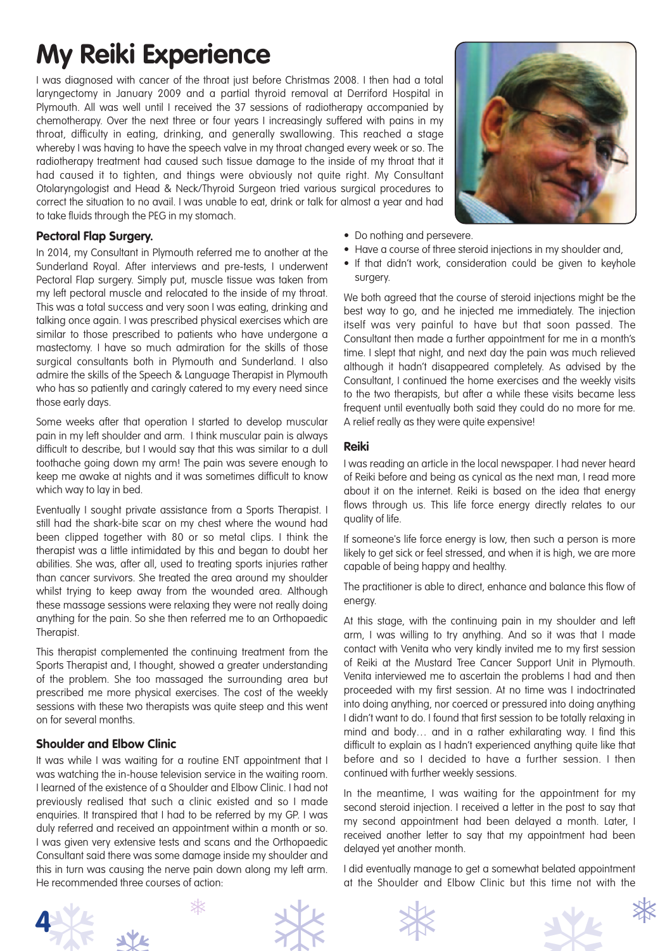## **My Reiki Experience**

I was diagnosed with cancer of the throat just before Christmas 2008. I then had a total laryngectomy in January 2009 and a partial thyroid removal at Derriford Hospital in Plymouth. All was well until I received the 37 sessions of radiotherapy accompanied by chemotherapy. Over the next three or four years I increasingly suffered with pains in my throat, difficulty in eating, drinking, and generally swallowing. This reached a stage whereby I was having to have the speech valve in my throat changed every week or so. The radiotherapy treatment had caused such tissue damage to the inside of my throat that it had caused it to tighten, and things were obviously not quite right. My Consultant Otolaryngologist and Head & Neck/Thyroid Surgeon tried various surgical procedures to correct the situation to no avail. I was unable to eat, drink or talk for almost a year and had to take fluids through the PEG in my stomach.

#### **Pectoral Flap Surgery.**

In 2014, my Consultant in Plymouth referred me to another at the Sunderland Royal. After interviews and pre-tests, I underwent Pectoral Flap surgery. Simply put, muscle tissue was taken from my left pectoral muscle and relocated to the inside of my throat. This was a total success and very soon I was eating, drinking and talking once again. I was prescribed physical exercises which are similar to those prescribed to patients who have undergone a mastectomy. I have so much admiration for the skills of those surgical consultants both in Plymouth and Sunderland. I also admire the skills of the Speech & Language Therapist in Plymouth who has so patiently and caringly catered to my every need since those early days.

Some weeks after that operation I started to develop muscular pain in my left shoulder and arm. I think muscular pain is always difficult to describe, but I would say that this was similar to a dull toothache going down my arm! The pain was severe enough to keep me awake at nights and it was sometimes difficult to know which way to lay in bed.

Eventually I sought private assistance from a Sports Therapist. I still had the shark-bite scar on my chest where the wound had been clipped together with 80 or so metal clips. I think the therapist was a little intimidated by this and began to doubt her abilities. She was, after all, used to treating sports injuries rather than cancer survivors. She treated the area around my shoulder whilst trying to keep away from the wounded area. Although these massage sessions were relaxing they were not really doing anything for the pain. So she then referred me to an Orthopaedic Therapist.

This therapist complemented the continuing treatment from the Sports Therapist and, I thought, showed a greater understanding of the problem. She too massaged the surrounding area but prescribed me more physical exercises. The cost of the weekly sessions with these two therapists was quite steep and this went on for several months.

#### **Shoulder and Elbow Clinic**

It was while I was waiting for a routine ENT appointment that I was watching the in-house television service in the waiting room. I learned of the existence of a Shoulder and Elbow Clinic. I had not previously realised that such a clinic existed and so I made enquiries. It transpired that I had to be referred by my GP. I was duly referred and received an appointment within a month or so. I was given very extensive tests and scans and the Orthopaedic Consultant said there was some damage inside my shoulder and this in turn was causing the nerve pain down along my left arm. He recommended three courses of action:



- Do nothing and persevere.
- Have a course of three steroid injections in my shoulder and,
- If that didn't work, consideration could be given to keyhole surgery.

We both agreed that the course of steroid injections might be the best way to go, and he injected me immediately. The injection itself was very painful to have but that soon passed. The Consultant then made a further appointment for me in a month's time. I slept that night, and next day the pain was much relieved although it hadn't disappeared completely. As advised by the Consultant, I continued the home exercises and the weekly visits to the two therapists, but after a while these visits became less frequent until eventually both said they could do no more for me. A relief really as they were quite expensive!

#### **Reiki**

I was reading an article in the local newspaper. I had never heard of Reiki before and being as cynical as the next man, I read more about it on the internet. Reiki is based on the idea that energy flows through us. This life force energy directly relates to our quality of life.

If someone's life force energy is low, then such a person is more likely to get sick or feel stressed, and when it is high, we are more capable of being happy and healthy.

The practitioner is able to direct, enhance and balance this flow of energy.

At this stage, with the continuing pain in my shoulder and left arm, I was willing to try anything. And so it was that I made contact with Venita who very kindly invited me to my first session of Reiki at the Mustard Tree Cancer Support Unit in Plymouth. Venita interviewed me to ascertain the problems I had and then proceeded with my first session. At no time was I indoctrinated into doing anything, nor coerced or pressured into doing anything I didn't want to do. I found that first session to be totally relaxing in mind and body… and in a rather exhilarating way. I find this difficult to explain as I hadn't experienced anything quite like that before and so I decided to have a further session. I then continued with further weekly sessions.

In the meantime, I was waiting for the appointment for my second steroid injection. I received a letter in the post to say that my second appointment had been delayed a month. Later, I received another letter to say that my appointment had been delayed yet another month.

I did eventually manage to get a somewhat belated appointment at the Shoulder and Elbow Clinic but this time not with the









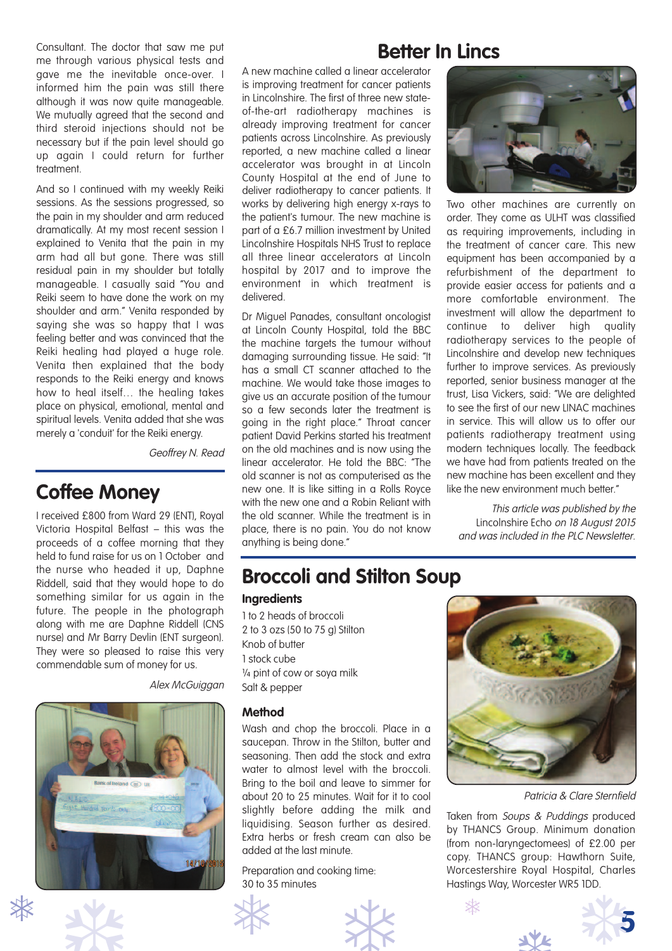Consultant. The doctor that saw me put me through various physical tests and gave me the inevitable once-over. I informed him the pain was still there although it was now quite manageable. We mutually agreed that the second and third steroid injections should not be necessary but if the pain level should go up again I could return for further treatment.

And so I continued with my weekly Reiki sessions. As the sessions progressed, so the pain in my shoulder and arm reduced dramatically. At my most recent session I explained to Venita that the pain in my arm had all but gone. There was still residual pain in my shoulder but totally manageable. I casually said "You and Reiki seem to have done the work on my shoulder and arm." Venita responded by saying she was so happy that I was feeling better and was convinced that the Reiki healing had played a huge role. Venita then explained that the body responds to the Reiki energy and knows how to heal itself… the healing takes place on physical, emotional, mental and spiritual levels. Venita added that she was merely a 'conduit' for the Reiki energy.

Geoffrey N. Read

Alex McGuiggan

### **Coffee Money**

I received £800 from Ward 29 (ENT), Royal Victoria Hospital Belfast – this was the proceeds of a coffee morning that they held to fund raise for us on 1 October and the nurse who headed it up, Daphne Riddell, said that they would hope to do something similar for us again in the future. The people in the photograph along with me are Daphne Riddell (CNS nurse) and Mr Barry Devlin (ENT surgeon). They were so pleased to raise this very commendable sum of money for us.



# **非 业 米 业**

### **Better In Lincs**

A new machine called a linear accelerator is improving treatment for cancer patients in Lincolnshire. The first of three new stateof-the-art radiotherapy machines is already improving treatment for cancer patients across Lincolnshire. As previously reported, a new machine called a linear accelerator was brought in at Lincoln County Hospital at the end of June to deliver radiotherapy to cancer patients. It works by delivering high energy x-rays to the patient's tumour. The new machine is part of a £6.7 million investment by United Lincolnshire Hospitals NHS Trust to replace all three linear accelerators at Lincoln hospital by 2017 and to improve the environment in which treatment is delivered.

Dr Miguel Panades, consultant oncologist at Lincoln County Hospital, told the BBC the machine targets the tumour without damaging surrounding tissue. He said: "It has a small CT scanner attached to the machine. We would take those images to give us an accurate position of the tumour so a few seconds later the treatment is going in the right place." Throat cancer patient David Perkins started his treatment on the old machines and is now using the linear accelerator. He told the BBC: "The old scanner is not as computerised as the new one. It is like sitting in a Rolls Royce with the new one and a Robin Reliant with the old scanner. While the treatment is in place, there is no pain. You do not know anything is being done."



Two other machines are currently on order. They come as ULHT was classified as requiring improvements, including in the treatment of cancer care. This new equipment has been accompanied by a refurbishment of the department to provide easier access for patients and a more comfortable environment. The investment will allow the department to continue to deliver high quality radiotherapy services to the people of Lincolnshire and develop new techniques further to improve services. As previously reported, senior business manager at the trust, Lisa Vickers, said: "We are delighted to see the first of our new LINAC machines in service. This will allow us to offer our patients radiotherapy treatment using modern techniques locally. The feedback we have had from patients treated on the new machine has been excellent and they like the new environment much better."

This article was published by the Lincolnshire Echo on 18 August 2015 and was included in the PLC Newsletter.

### **Broccoli and Stilton Soup**

#### **Ingredients**

1 to 2 heads of broccoli 2 to 3 ozs (50 to 75 g) Stilton Knob of butter 1 stock cube ¼ pint of cow or soya milk Salt & pepper

#### **Method**

Wash and chop the broccoli. Place in a saucepan. Throw in the Stilton, butter and seasoning. Then add the stock and extra water to almost level with the broccoli. Bring to the boil and leave to simmer for about 20 to 25 minutes. Wait for it to cool slightly before adding the milk and liquidising. Season further as desired. Extra herbs or fresh cream can also be added at the last minute.

Preparation and cooking time: 30 to 35 minutes



Patricia & Clare Sternfield

Taken from Soups & Puddings produced by THANCS Group. Minimum donation (from non-laryngectomees) of £2.00 per copy. THANCS group: Hawthorn Suite, Worcestershire Royal Hospital, Charles Hastings Way, Worcester WR5 1DD.



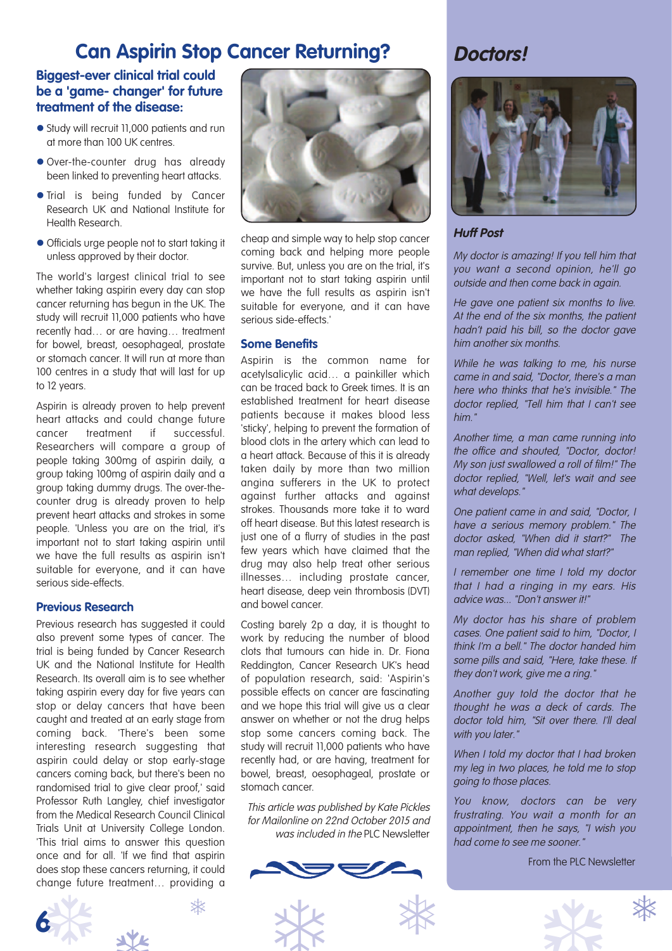### **Can Aspirin Stop Cancer Returning? Doctors!**

#### **Biggest-ever clinical trial could be a 'game- changer' for future treatment of the disease:**

- **Study will recruit 11,000 patients and run** at more than 100 UK centres.
- Over-the-counter drug has already been linked to preventing heart attacks.
- **Trial is being funded by Cancer** Research UK and National Institute for Health Research.
- **Officials urge people not to start taking it** unless approved by their doctor.

The world's largest clinical trial to see whether taking aspirin every day can stop cancer returning has begun in the UK. The study will recruit 11,000 patients who have recently had… or are having… treatment for bowel, breast, oesophageal, prostate or stomach cancer. It will run at more than 100 centres in a study that will last for up to 12 years.

Aspirin is already proven to help prevent heart attacks and could change future cancer treatment if successful. Researchers will compare a group of people taking 300mg of aspirin daily, a group taking 100mg of aspirin daily and a group taking dummy drugs. The over-thecounter drug is already proven to help prevent heart attacks and strokes in some people. 'Unless you are on the trial, it's important not to start taking aspirin until we have the full results as aspirin isn't suitable for everyone, and it can have serious side-effects.

#### **Previous Research**

Previous research has suggested it could also prevent some types of cancer. The trial is being funded by Cancer Research UK and the National Institute for Health Research. Its overall aim is to see whether taking aspirin every day for five years can stop or delay cancers that have been caught and treated at an early stage from coming back. 'There's been some interesting research suggesting that aspirin could delay or stop early-stage cancers coming back, but there's been no randomised trial to give clear proof,' said Professor Ruth Langley, chief investigator from the Medical Research Council Clinical Trials Unit at University College London. 'This trial aims to answer this question once and for all. 'If we find that aspirin does stop these cancers returning, it could change future treatment… providing a

yk



**6**



cheap and simple way to help stop cancer coming back and helping more people survive. But, unless you are on the trial, it's important not to start taking aspirin until we have the full results as aspirin isn't suitable for everyone, and it can have serious side-effects.'

#### **Some Benefits**

Aspirin is the common name for acetylsalicylic acid… a painkiller which can be traced back to Greek times. It is an established treatment for heart disease patients because it makes blood less 'sticky', helping to prevent the formation of blood clots in the artery which can lead to a heart attack. Because of this it is already taken daily by more than two million angina sufferers in the UK to protect against further attacks and against strokes. Thousands more take it to ward off heart disease. But this latest research is just one of a flurry of studies in the past few years which have claimed that the drug may also help treat other serious illnesses… including prostate cancer, heart disease, deep vein thrombosis (DVT) and bowel cancer.

Costing barely 2p a day, it is thought to work by reducing the number of blood clots that tumours can hide in. Dr. Fiona Reddington, Cancer Research UK's head of population research, said: 'Aspirin's possible effects on cancer are fascinating and we hope this trial will give us a clear answer on whether or not the drug helps stop some cancers coming back. The study will recruit 11,000 patients who have recently had, or are having, treatment for bowel, breast, oesophageal, prostate or stomach cancer.

This article was published by Kate Pickles for Mailonline on 22nd October 2015 and was included in the PLC Newsletter





**Huff Post**

My doctor is amazing! If you tell him that you want <sup>a</sup> second opinion, he'll go outside and then come back in again.

He gave one patient six months to live. At the end of the six months, the patient hadn't paid his bill, so the doctor gave him another six months.

While he was talking to me, his nurse came in and said, "Doctor, there's <sup>a</sup> man here who thinks that he's invisible." The doctor replied, "Tell him that I can't see him."

Another time, <sup>a</sup> man came running into the office and shouted, "Doctor, doctor! My son just swallowed <sup>a</sup> roll of film!" The doctor replied, "Well, let's wait and see what develops."

One patient came in and said, "Doctor, I have <sup>a</sup> serious memory problem." The doctor asked, "When did it start?" The man replied, "When did what start?"

I remember one time I told my doctor that I had <sup>a</sup> ringing in my ears. His advice was... "Don't answer it!"

My doctor has his share of problem cases. One patient said to him, "Doctor, I think I'm <sup>a</sup> bell." The doctor handed him some pills and said, "Here, take these. If they don't work, give me <sup>a</sup> ring."

Another guy told the doctor that he thought he was <sup>a</sup> deck of cards. The doctor told him, "Sit over there. I'll deal with you later."

When I told my doctor that I had broken my leg in two places, he told me to stop going to those places.

You know, doctors can be very frustrating. You wait <sup>a</sup> month for an appointment, then he says, "I wish you had come to see me sooner.'

From the PLC Newsletter







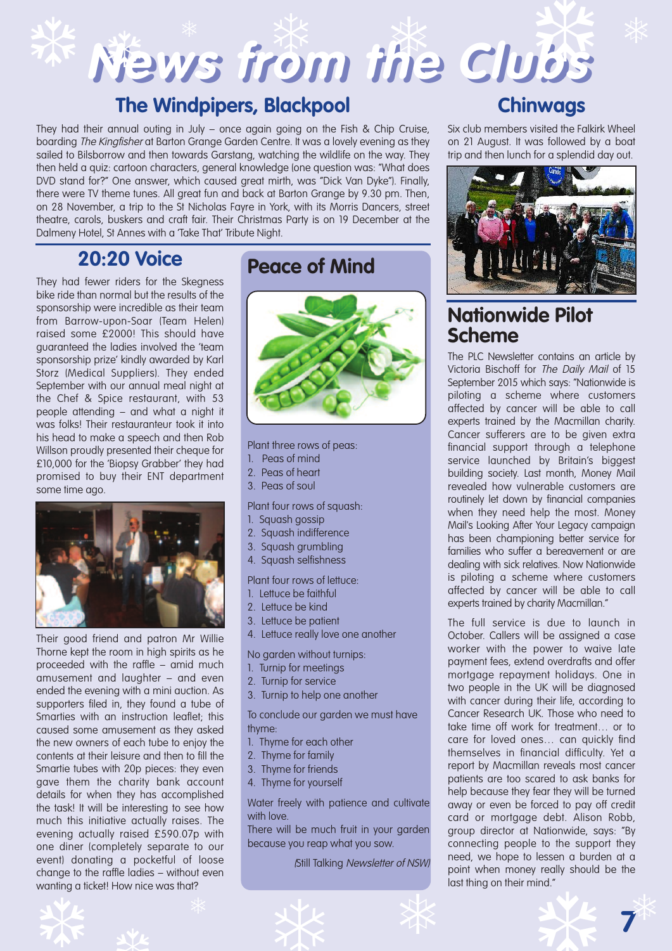### **The Windpipers, Blackpool**

They had their annual outing in July – once again going on the Fish & Chip Cruise, boarding The Kingfisher at Barton Grange Garden Centre. It was a lovely evening as they sailed to Bilsborrow and then towards Garstang, watching the wildlife on the way. They then held a quiz: cartoon characters, general knowledge (one question was: "What does DVD stand for?" One answer, which caused great mirth, was "Dick Van Dyke"). Finally, there were TV theme tunes. All great fun and back at Barton Grange by 9.30 pm. Then on 28 November, a trip to the St Nicholas Fayre in York, with its Morris Dancers, street theatre, carols, buskers and craft fair. Their Christmas Party is on 19 December at the Dalmeny Hotel, St Annes with a 'Take That' Tribute Night.

#### **20:20 Voice**

They had fewer riders for the Skegness bike ride than normal but the results of the sponsorship were incredible as their team from Barrow-upon-Soar (Team Helen) raised some £2000! This should have guaranteed the ladies involved the 'team sponsorship prize' kindly awarded by Karl Storz (Medical Suppliers). They ended September with our annual meal night at the Chef & Spice restaurant, with 53 people attending – and what a night it was folks! Their restauranteur took it into his head to make a speech and then Rob Willson proudly presented their cheque for £10,000 for the 'Biopsy Grabber' they had promised to buy their ENT department some time ago.



Their good friend and patron Mr Willie Thorne kept the room in high spirits as he proceeded with the raffle – amid much amusement and laughter – and even ended the evening with a mini auction. As supporters filed in, they found a tube of Smarties with an instruction leaflet; this caused some amusement as they asked the new owners of each tube to enjoy the contents at their leisure and then to fill the Smartie tubes with 20p pieces: they even gave them the charity bank account details for when they has accomplished the task! It will be interesting to see how much this initiative actually raises. The evening actually raised £590.07p with one diner (completely separate to our event) donating a pocketful of loose change to the raffle ladies – without even wanting a ticket! How nice was that?

### **Peace of Mind**



米 News from the clubs \*

Plant three rows of peas:

- 1. Peas of mind
- 2. Peas of heart
- 3. Peas of soul

Plant four rows of squash:

- 1. Squash gossip
- 2. Squash indifference
- 3. Squash grumbling
- 4. Squash selfishness

Plant four rows of lettuce:

- 1. Lettuce be faithful
- 2. Lettuce be kind
- 3. Lettuce be patient
- 4. Lettuce really love one another
- No garden without turnips:
- 1. Turnip for meetings
- 2. Turnip for service
- 3. Turnip to help one another

To conclude our garden we must have thyme:

- 1. Thyme for each other
- 2. Thyme for family
- 3. Thyme for friends
- 4. Thyme for yourself

Water freely with patience and cultivate with love.

There will be much fruit in your garden because you reap what you sow.

(Still Talking Newsletter of NSW)

### **Chinwags**

Six club members visited the Falkirk Wheel on 21 August. It was followed by a boat trip and then lunch for a splendid day out.



### **Nationwide Pilot Scheme**

The PLC Newsletter contains an article by Victoria Bischoff for The Daily Mail of 15 September 2015 which says: "Nationwide is piloting a scheme where customers affected by cancer will be able to call experts trained by the Macmillan charity. Cancer sufferers are to be given extra financial support through a telephone service launched by Britain's biggest building society. Last month, Money Mail revealed how vulnerable customers are routinely let down by financial companies when they need help the most. Money Mail's Looking After Your Legacy campaign has been championing better service for families who suffer a bereavement or are dealing with sick relatives. Now Nationwide is piloting a scheme where customers affected by cancer will be able to call experts trained by charity Macmillan."

The full service is due to launch in October. Callers will be assigned a case worker with the power to waive late payment fees, extend overdrafts and offer mortgage repayment holidays. One in two people in the UK will be diagnosed with cancer during their life, according to Cancer Research UK. Those who need to take time off work for treatment… or to care for loved ones… can quickly find themselves in financial difficulty. Yet a report by Macmillan reveals most cancer patients are too scared to ask banks for help because they fear they will be turned away or even be forced to pay off credit card or mortgage debt. Alison Robb, group director at Nationwide, says: "By connecting people to the support they need, we hope to lessen a burden at a point when money really should be the last thing on their mind."